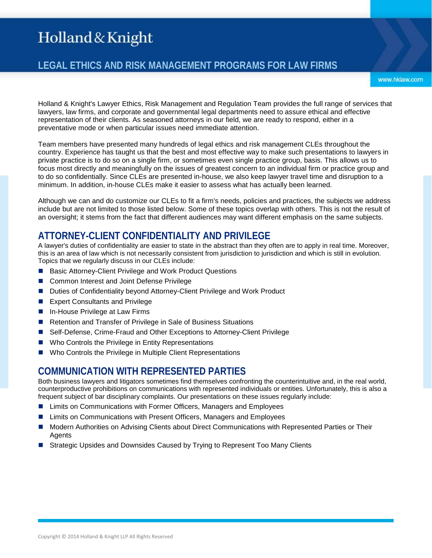## **LEGAL ETHICS AND RISK MANAGEMENT PROGRAMS FOR LAW FIRMS**

www.hklaw.com

Holland & Knight's Lawyer Ethics, Risk Management and Regulation Team provides the full range of services that lawyers, law firms, and corporate and governmental legal departments need to assure ethical and effective representation of their clients. As seasoned attorneys in our field, we are ready to respond, either in a preventative mode or when particular issues need immediate attention.

Team members have presented many hundreds of legal ethics and risk management CLEs throughout the country. Experience has taught us that the best and most effective way to make such presentations to lawyers in private practice is to do so on a single firm, or sometimes even single practice group, basis. This allows us to focus most directly and meaningfully on the issues of greatest concern to an individual firm or practice group and to do so confidentially. Since CLEs are presented in-house, we also keep lawyer travel time and disruption to a minimum. In addition, in-house CLEs make it easier to assess what has actually been learned.

Although we can and do customize our CLEs to fit a firm's needs, policies and practices, the subjects we address include but are not limited to those listed below. Some of these topics overlap with others. This is not the result of an oversight; it stems from the fact that different audiences may want different emphasis on the same subjects.

### **ATTORNEY-CLIENT CONFIDENTIALITY AND PRIVILEGE**

A lawyer's duties of confidentiality are easier to state in the abstract than they often are to apply in real time. Moreover, this is an area of law which is not necessarily consistent from jurisdiction to jurisdiction and which is still in evolution. Topics that we regularly discuss in our CLEs include:

- Basic Attorney-Client Privilege and Work Product Questions
- Common Interest and Joint Defense Privilege
- Duties of Confidentiality beyond Attorney-Client Privilege and Work Product
- **EXpert Consultants and Privilege**
- $\blacksquare$  In-House Privilege at Law Firms
- Retention and Transfer of Privilege in Sale of Business Situations
- Self-Defense, Crime-Fraud and Other Exceptions to Attorney-Client Privilege
- Who Controls the Privilege in Entity Representations
- Who Controls the Privilege in Multiple Client Representations

#### **COMMUNICATION WITH REPRESENTED PARTIES**

Both business lawyers and litigators sometimes find themselves confronting the counterintuitive and, in the real world, counterproductive prohibitions on communications with represented individuals or entities. Unfortunately, this is also a frequent subject of bar disciplinary complaints. Our presentations on these issues regularly include:

- Limits on Communications with Former Officers, Managers and Employees
- Limits on Communications with Present Officers, Managers and Employees
- Modern Authorities on Advising Clients about Direct Communications with Represented Parties or Their **Agents**
- Strategic Upsides and Downsides Caused by Trying to Represent Too Many Clients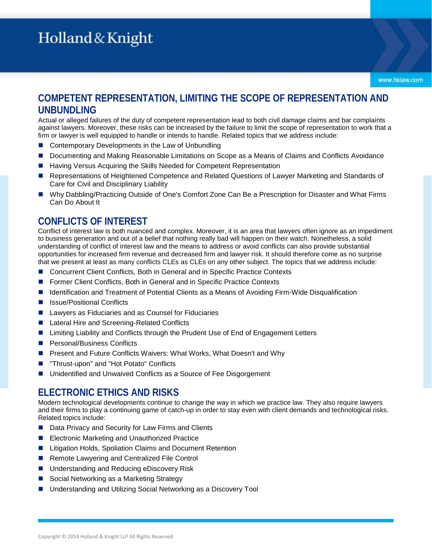www.hklaw.com

## **COMPETENT REPRESENTATION, LIMITING THE SCOPE OF REPRESENTATION AND UNBUNDLING**

Actual or alleged failures of the duty of competent representation lead to both civil damage claims and bar complaints against lawyers. Moreover, these risks can be increased by the failure to limit the scope of representation to work that a firm or lawyer is well equipped to handle or intends to handle. Related topics that we address include:

- Contemporary Developments in the Law of Unbundling
- **D** Documenting and Making Reasonable Limitations on Scope as a Means of Claims and Conflicts Avoidance
- Having Versus Acquiring the Skills Needed for Competent Representation
- Representations of Heightened Competence and Related Questions of Lawyer Marketing and Standards of Care for Civil and Disciplinary Liability
- Why Dabbling/Practicing Outside of One's Comfort Zone Can Be a Prescription for Disaster and What Firms Can Do About It

#### **CONFLICTS OF INTEREST**

Conflict of interest law is both nuanced and complex. Moreover, it is an area that lawyers often ignore as an impediment to business generation and out of a belief that nothing really bad will happen on their watch. Nonetheless, a solid understanding of conflict of interest law and the means to address or avoid conflicts can also provide substantial opportunities for increased firm revenue and decreased firm and lawyer risk. It should therefore come as no surprise that we present at least as many conflicts CLEs as CLEs on any other subject. The topics that we address include:

- Concurrent Client Conflicts, Both in General and in Specific Practice Contexts
- **F** Former Client Conflicts, Both in General and in Specific Practice Contexts
- Identification and Treatment of Potential Clients as a Means of Avoiding Firm-Wide Disqualification
- Issue/Positional Conflicts
- Lawyers as Fiduciaries and as Counsel for Fiduciaries
- Lateral Hire and Screening-Related Conflicts
- Limiting Liability and Conflicts through the Prudent Use of End of Engagement Letters
- Personal/Business Conflicts
- Present and Future Conflicts Waivers: What Works, What Doesn't and Why
- "Thrust-upon" and "Hot Potato" Conflicts
- Unidentified and Unwaived Conflicts as a Source of Fee Disgorgement

#### **ELECTRONIC ETHICS AND RISKS**

Modern technological developments continue to change the way in which we practice law. They also require lawyers and their firms to play a continuing game of catch-up in order to stay even with client demands and technological risks. Related topics include:

- Data Privacy and Security for Law Firms and Clients
- **E** Electronic Marketing and Unauthorized Practice
- Litigation Holds, Spoliation Claims and Document Retention
- Remote Lawyering and Centralized File Control
- Understanding and Reducing eDiscovery Risk
- Social Networking as a Marketing Strategy
- Understanding and Utilizing Social Networking as a Discovery Tool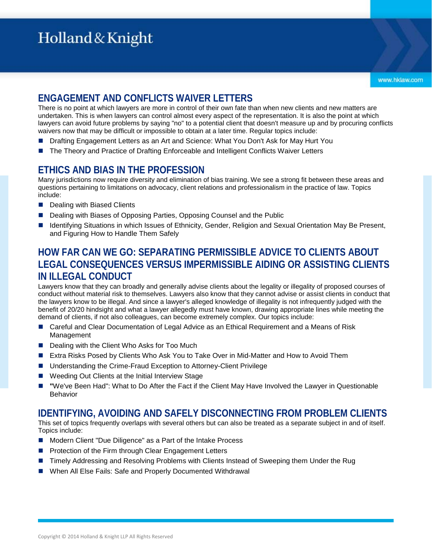## **ENGAGEMENT AND CONFLICTS WAIVER LETTERS**

There is no point at which lawyers are more in control of their own fate than when new clients and new matters are undertaken. This is when lawyers can control almost every aspect of the representation. It is also the point at which lawyers can avoid future problems by saying "no" to a potential client that doesn't measure up and by procuring conflicts waivers now that may be difficult or impossible to obtain at a later time. Regular topics include:

- Drafting Engagement Letters as an Art and Science: What You Don't Ask for May Hurt You
- The Theory and Practice of Drafting Enforceable and Intelligent Conflicts Waiver Letters

## **ETHICS AND BIAS IN THE PROFESSION**

Many jurisdictions now require diversity and elimination of bias training. We see a strong fit between these areas and questions pertaining to limitations on advocacy, client relations and professionalism in the practice of law. Topics include:

- Dealing with Biased Clients
- Dealing with Biases of Opposing Parties, Opposing Counsel and the Public
- Identifying Situations in which Issues of Ethnicity, Gender, Religion and Sexual Orientation May Be Present, and Figuring How to Handle Them Safely

### **HOW FAR CAN WE GO: SEPARATING PERMISSIBLE ADVICE TO CLIENTS ABOUT LEGAL CONSEQUENCES VERSUS IMPERMISSIBLE AIDING OR ASSISTING CLIENTS IN ILLEGAL CONDUCT**

Lawyers know that they can broadly and generally advise clients about the legality or illegality of proposed courses of conduct without material risk to themselves. Lawyers also know that they cannot advise or assist clients in conduct that the lawyers know to be illegal. And since a lawyer's alleged knowledge of illegality is not infrequently judged with the benefit of 20/20 hindsight and what a lawyer allegedly must have known, drawing appropriate lines while meeting the demand of clients, if not also colleagues, can become extremely complex. Our topics include:

- Careful and Clear Documentation of Legal Advice as an Ethical Requirement and a Means of Risk Management
- Dealing with the Client Who Asks for Too Much
- Extra Risks Posed by Clients Who Ask You to Take Over in Mid-Matter and How to Avoid Them
- Understanding the Crime-Fraud Exception to Attorney-Client Privilege
- Weeding Out Clients at the Initial Interview Stage
- **"**We've Been Had": What to Do After the Fact if the Client May Have Involved the Lawyer in Questionable **Behavior**

#### **IDENTIFYING, AVOIDING AND SAFELY DISCONNECTING FROM PROBLEM CLIENTS**

This set of topics frequently overlaps with several others but can also be treated as a separate subject in and of itself. Topics include:

- Modern Client "Due Diligence" as a Part of the Intake Process
- **Protection of the Firm through Clear Engagement Letters**
- Timely Addressing and Resolving Problems with Clients Instead of Sweeping them Under the Rug
- When All Else Fails: Safe and Properly Documented Withdrawal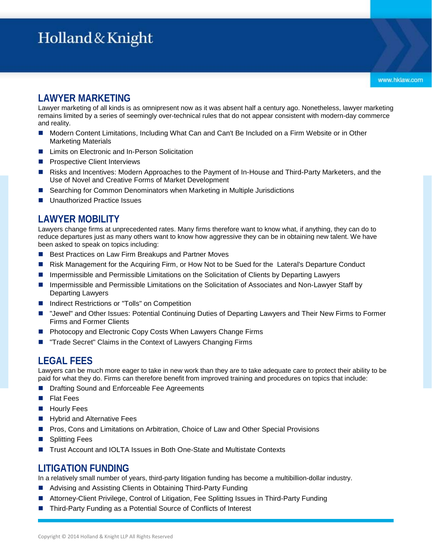Lawyer marketing of all kinds is as omnipresent now as it was absent half a century ago. Nonetheless, lawyer marketing remains limited by a series of seemingly over-technical rules that do not appear consistent with modern-day commerce and reality.

- Modern Content Limitations, Including What Can and Can't Be Included on a Firm Website or in Other Marketing Materials
- Limits on Electronic and In-Person Solicitation
- Prospective Client Interviews
- Risks and Incentives: Modern Approaches to the Payment of In-House and Third-Party Marketers, and the Use of Novel and Creative Forms of Market Development
- Searching for Common Denominators when Marketing in Multiple Jurisdictions
- Unauthorized Practice Issues

#### **LAWYER MOBILITY**

Lawyers change firms at unprecedented rates. Many firms therefore want to know what, if anything, they can do to reduce departures just as many others want to know how aggressive they can be in obtaining new talent. We have been asked to speak on topics including:

- Best Practices on Law Firm Breakups and Partner Moves
- Risk Management for the Acquiring Firm, or How Not to be Sued for the Lateral's Departure Conduct
- Impermissible and Permissible Limitations on the Solicitation of Clients by Departing Lawyers
- Impermissible and Permissible Limitations on the Solicitation of Associates and Non-Lawyer Staff by Departing Lawyers
- Indirect Restrictions or "Tolls" on Competition
- "Jewel" and Other Issues: Potential Continuing Duties of Departing Lawyers and Their New Firms to Former Firms and Former Clients
- Photocopy and Electronic Copy Costs When Lawyers Change Firms
- "Trade Secret" Claims in the Context of Lawyers Changing Firms

#### **LEGAL FEES**

Lawyers can be much more eager to take in new work than they are to take adequate care to protect their ability to be paid for what they do. Firms can therefore benefit from improved training and procedures on topics that include:

- Drafting Sound and Enforceable Fee Agreements
- Flat Fees
- **Hourly Fees**
- Hybrid and Alternative Fees
- Pros, Cons and Limitations on Arbitration, Choice of Law and Other Special Provisions
- Splitting Fees
- Trust Account and IOLTA Issues in Both One-State and Multistate Contexts

### **LITIGATION FUNDING**

In a relatively small number of years, third-party litigation funding has become a multibillion-dollar industry.

- Advising and Assisting Clients in Obtaining Third-Party Funding
- Attorney-Client Privilege, Control of Litigation, Fee Splitting Issues in Third-Party Funding
- Third-Party Funding as a Potential Source of Conflicts of Interest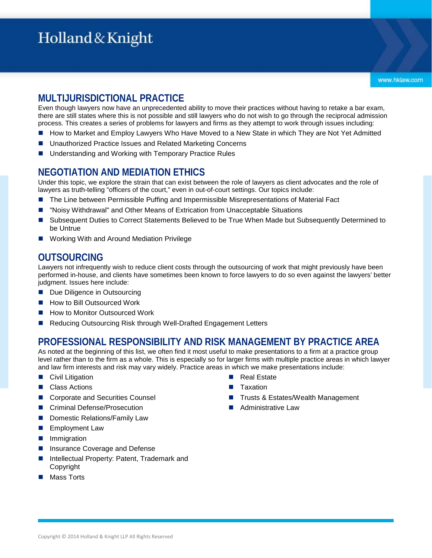## **MULTIJURISDICTIONAL PRACTICE**

Even though lawyers now have an unprecedented ability to move their practices without having to retake a bar exam, there are still states where this is not possible and still lawyers who do not wish to go through the reciprocal admission process. This creates a series of problems for lawyers and firms as they attempt to work through issues including:

- How to Market and Employ Lawyers Who Have Moved to a New State in which They are Not Yet Admitted
- Unauthorized Practice Issues and Related Marketing Concerns
- Understanding and Working with Temporary Practice Rules

#### **NEGOTIATION AND MEDIATION ETHICS**

Under this topic, we explore the strain that can exist between the role of lawyers as client advocates and the role of lawyers as truth-telling "officers of the court," even in out-of-court settings. Our topics include:

- The Line between Permissible Puffing and Impermissible Misrepresentations of Material Fact
- "Noisy Withdrawal" and Other Means of Extrication from Unacceptable Situations
- Subsequent Duties to Correct Statements Believed to be True When Made but Subsequently Determined to be Untrue
- Working With and Around Mediation Privilege

#### **OUTSOURCING**

Lawyers not infrequently wish to reduce client costs through the outsourcing of work that might previously have been performed in-house, and clients have sometimes been known to force lawyers to do so even against the lawyers' better judgment. Issues here include:

- Due Diligence in Outsourcing
- How to Bill Outsourced Work
- How to Monitor Outsourced Work
- Reducing Outsourcing Risk through Well-Drafted Engagement Letters

#### **PROFESSIONAL RESPONSIBILITY AND RISK MANAGEMENT BY PRACTICE AREA**

As noted at the beginning of this list, we often find it most useful to make presentations to a firm at a practice group level rather than to the firm as a whole. This is especially so for larger firms with multiple practice areas in which lawyer and law firm interests and risk may vary widely. Practice areas in which we make presentations include:

- Civil Litigation
- Class Actions
- Corporate and Securities Counsel
- Criminal Defense/Prosecution
- Domestic Relations/Family Law
- **Employment Law**
- **Inmigration**
- Insurance Coverage and Defense
- Intellectual Property: Patent, Trademark and Copyright
- Mass Torts
- Real Estate
- Taxation
- Trusts & Estates/Wealth Management
- Administrative Law